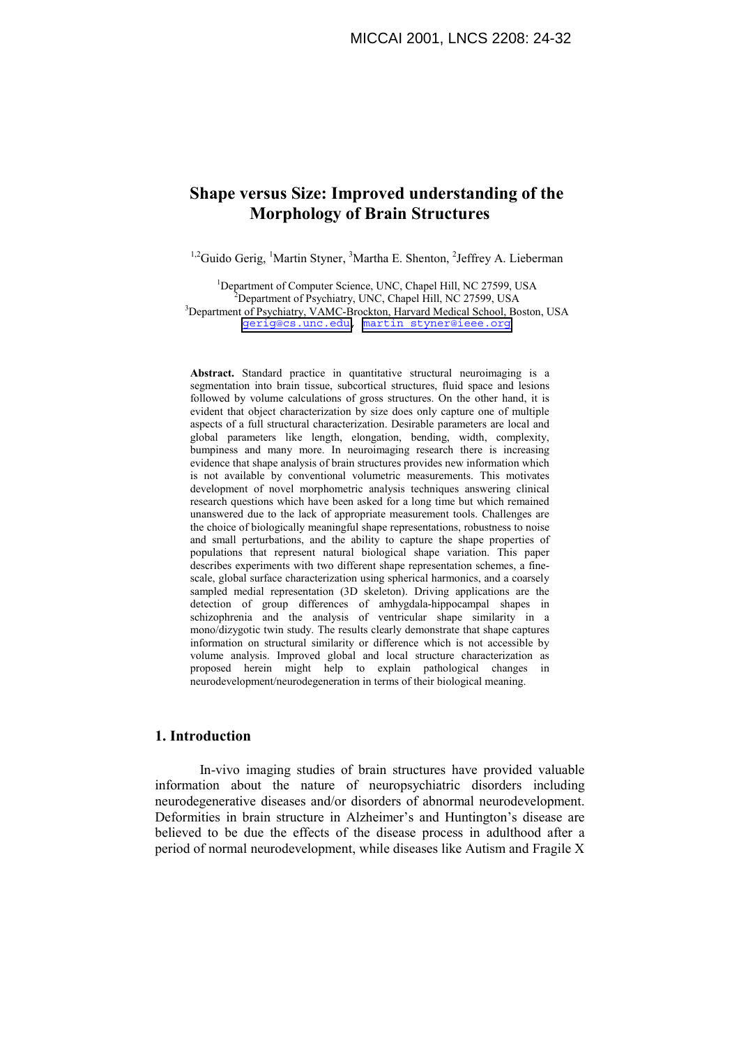# **Shape versus Size: Improved understanding of the Morphology of Brain Structures**

<sup>1,2</sup>Guido Gerig, <sup>1</sup>Martin Styner, <sup>3</sup>Martha E. Shenton, <sup>2</sup>Jeffrey A. Lieberman

<sup>1</sup>Department of Computer Science, UNC, Chapel Hill, NC 27599, USA<br><sup>2</sup>Department of Peuchistry, UNC, Chapel Hill, NC 27500, USA  $^{2}$ Department of Psychiatry, UNC, Chapel Hill, NC 27599, USA <sup>3</sup>Department of Psychiatry, VAMC-Brockton, Harvard Medical School, Boston, USA [gerig@cs.unc.edu,](mailto:gerig@cs.unc.edu) [martin\\_styner@ieee.org](mailto:martin_styner@ieee.org)

**Abstract.** Standard practice in quantitative structural neuroimaging is a segmentation into brain tissue, subcortical structures, fluid space and lesions followed by volume calculations of gross structures. On the other hand, it is evident that object characterization by size does only capture one of multiple aspects of a full structural characterization. Desirable parameters are local and global parameters like length, elongation, bending, width, complexity, bumpiness and many more. In neuroimaging research there is increasing evidence that shape analysis of brain structures provides new information which is not available by conventional volumetric measurements. This motivates development of novel morphometric analysis techniques answering clinical research questions which have been asked for a long time but which remained unanswered due to the lack of appropriate measurement tools. Challenges are the choice of biologically meaningful shape representations, robustness to noise and small perturbations, and the ability to capture the shape properties of populations that represent natural biological shape variation. This paper describes experiments with two different shape representation schemes, a finescale, global surface characterization using spherical harmonics, and a coarsely sampled medial representation (3D skeleton). Driving applications are the detection of group differences of amhygdala-hippocampal shapes in schizophrenia and the analysis of ventricular shape similarity in a mono/dizygotic twin study. The results clearly demonstrate that shape captures information on structural similarity or difference which is not accessible by volume analysis. Improved global and local structure characterization as proposed herein might help to explain pathological changes in neurodevelopment/neurodegeneration in terms of their biological meaning.

# **1. Introduction**

In-vivo imaging studies of brain structures have provided valuable information about the nature of neuropsychiatric disorders including neurodegenerative diseases and/or disorders of abnormal neurodevelopment. Deformities in brain structure in Alzheimer's and Huntington's disease are believed to be due the effects of the disease process in adulthood after a period of normal neurodevelopment, while diseases like Autism and Fragile X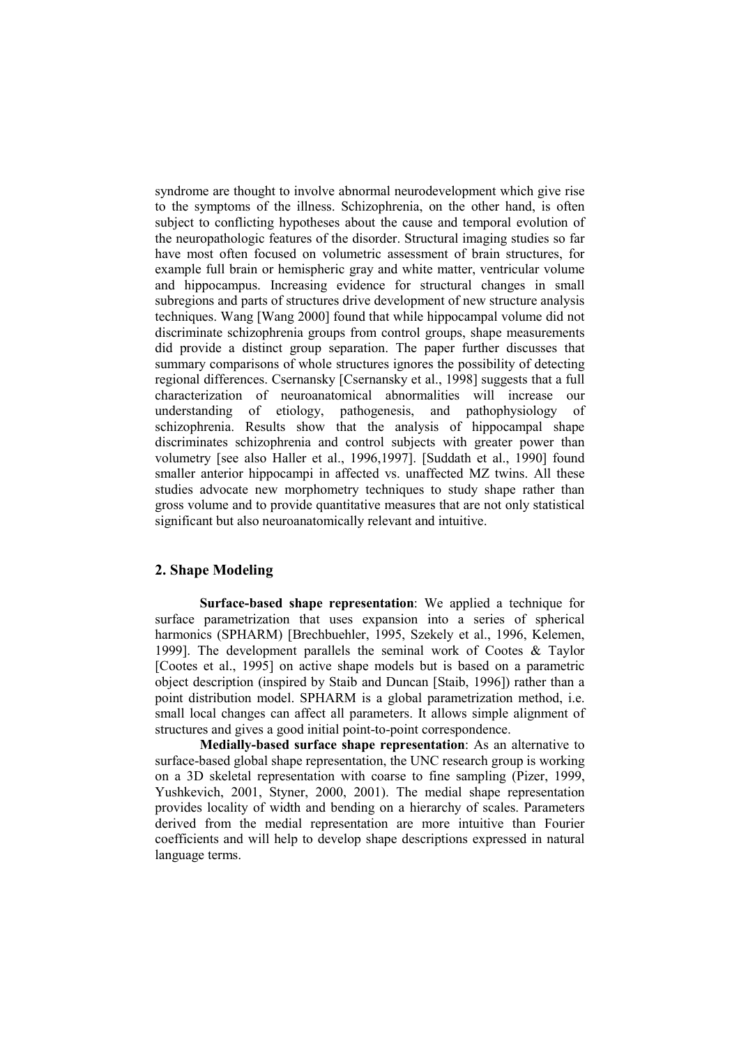syndrome are thought to involve abnormal neurodevelopment which give rise to the symptoms of the illness. Schizophrenia, on the other hand, is often subject to conflicting hypotheses about the cause and temporal evolution of the neuropathologic features of the disorder. Structural imaging studies so far have most often focused on volumetric assessment of brain structures, for example full brain or hemispheric gray and white matter, ventricular volume and hippocampus. Increasing evidence for structural changes in small subregions and parts of structures drive development of new structure analysis techniques. Wang [Wang 2000] found that while hippocampal volume did not discriminate schizophrenia groups from control groups, shape measurements did provide a distinct group separation. The paper further discusses that summary comparisons of whole structures ignores the possibility of detecting regional differences. Csernansky [Csernansky et al., 1998] suggests that a full characterization of neuroanatomical abnormalities will increase our understanding of etiology, pathogenesis, and pathophysiology of schizophrenia. Results show that the analysis of hippocampal shape discriminates schizophrenia and control subjects with greater power than volumetry [see also Haller et al., 1996,1997]. [Suddath et al., 1990] found smaller anterior hippocampi in affected vs. unaffected MZ twins. All these studies advocate new morphometry techniques to study shape rather than gross volume and to provide quantitative measures that are not only statistical significant but also neuroanatomically relevant and intuitive.

# **2. Shape Modeling**

**Surface-based shape representation**: We applied a technique for surface parametrization that uses expansion into a series of spherical harmonics (SPHARM) [Brechbuehler, 1995, Szekely et al., 1996, Kelemen, 1999]. The development parallels the seminal work of Cootes & Taylor [Cootes et al., 1995] on active shape models but is based on a parametric object description (inspired by Staib and Duncan [Staib, 1996]) rather than a point distribution model. SPHARM is a global parametrization method, i.e. small local changes can affect all parameters. It allows simple alignment of structures and gives a good initial point-to-point correspondence.

**Medially-based surface shape representation**: As an alternative to surface-based global shape representation, the UNC research group is working on a 3D skeletal representation with coarse to fine sampling (Pizer, 1999, Yushkevich, 2001, Styner, 2000, 2001). The medial shape representation provides locality of width and bending on a hierarchy of scales. Parameters derived from the medial representation are more intuitive than Fourier coefficients and will help to develop shape descriptions expressed in natural language terms.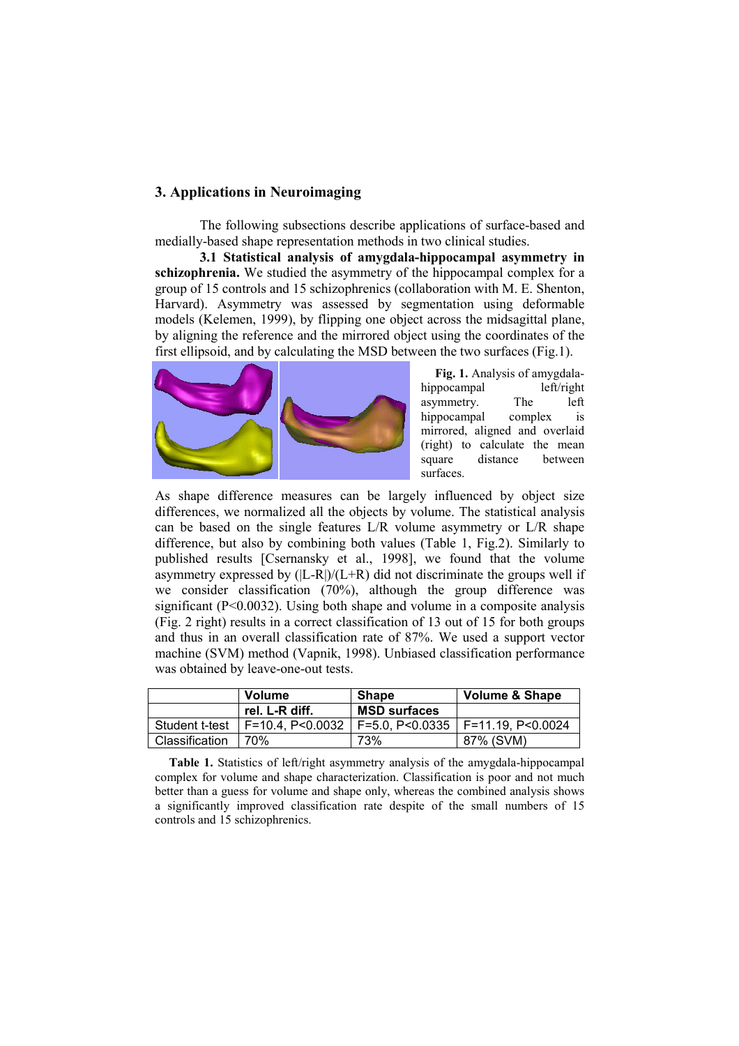### **3. Applications in Neuroimaging**

The following subsections describe applications of surface-based and medially-based shape representation methods in two clinical studies.

**3.1 Statistical analysis of amygdala-hippocampal asymmetry in schizophrenia.** We studied the asymmetry of the hippocampal complex for a group of 15 controls and 15 schizophrenics (collaboration with M. E. Shenton, Harvard). Asymmetry was assessed by segmentation using deformable models (Kelemen, 1999), by flipping one object across the midsagittal plane, by aligning the reference and the mirrored object using the coordinates of the first ellipsoid, and by calculating the MSD between the two surfaces (Fig.1).



**Fig. 1.** Analysis of amygdalahippocampal left/right asymmetry. The left hippocampal complex is mirrored, aligned and overlaid (right) to calculate the mean square distance between surfaces.

As shape difference measures can be largely influenced by object size differences, we normalized all the objects by volume. The statistical analysis can be based on the single features L/R volume asymmetry or L/R shape difference, but also by combining both values (Table 1, Fig.2). Similarly to published results [Csernansky et al., 1998], we found that the volume asymmetry expressed by  $(|L-R|)/(L+R)$  did not discriminate the groups well if we consider classification (70%), although the group difference was significant  $(P< 0.0032)$ . Using both shape and volume in a composite analysis (Fig. 2 right) results in a correct classification of 13 out of 15 for both groups and thus in an overall classification rate of 87%. We used a support vector machine (SVM) method (Vapnik, 1998). Unbiased classification performance was obtained by leave-one-out tests.

|                | <b>Volume</b>  | <b>Shape</b>        | Volume & Shape                                                          |
|----------------|----------------|---------------------|-------------------------------------------------------------------------|
|                | rel. L-R diff. | <b>MSD surfaces</b> |                                                                         |
|                |                |                     | Student t-test   F=10.4, P<0.0032   F=5.0, P<0.0335   F=11.19, P<0.0024 |
| Classification | 70%            | 73%                 | 87% (SVM)                                                               |

**Table 1.** Statistics of left/right asymmetry analysis of the amygdala-hippocampal complex for volume and shape characterization. Classification is poor and not much better than a guess for volume and shape only, whereas the combined analysis shows a significantly improved classification rate despite of the small numbers of 15 controls and 15 schizophrenics.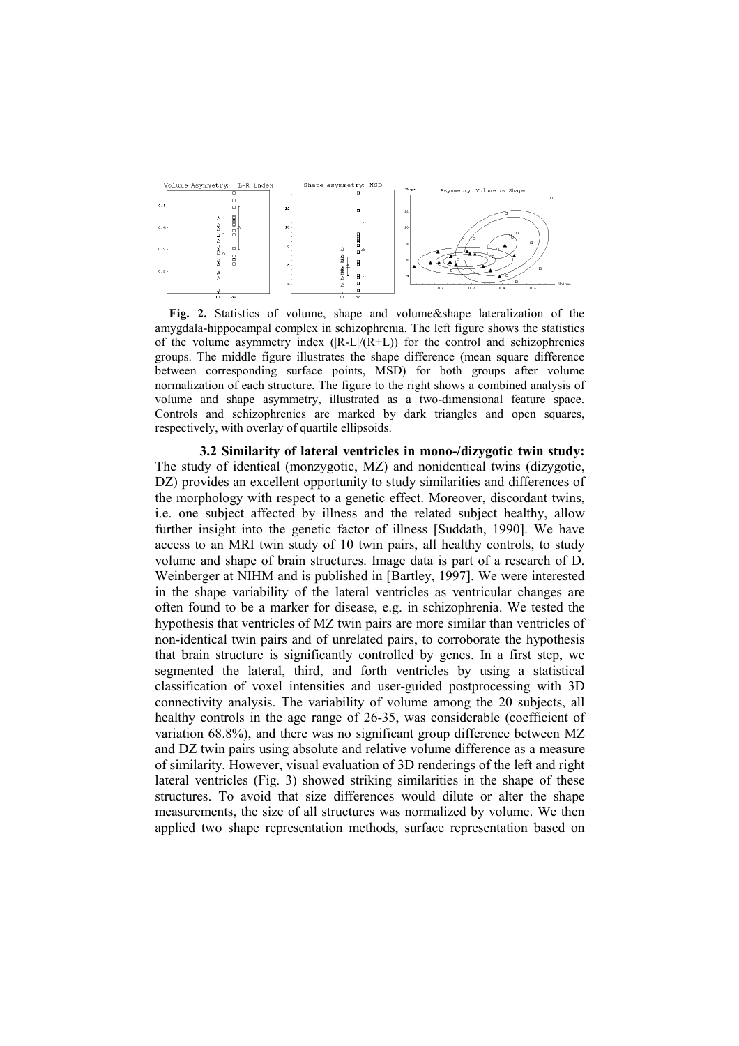

**Fig. 2.** Statistics of volume, shape and volume&shape lateralization of the amygdala-hippocampal complex in schizophrenia. The left figure shows the statistics of the volume asymmetry index  $(|R-L|/(R+L))$  for the control and schizophrenics groups. The middle figure illustrates the shape difference (mean square difference between corresponding surface points, MSD) for both groups after volume normalization of each structure. The figure to the right shows a combined analysis of volume and shape asymmetry, illustrated as a two-dimensional feature space. Controls and schizophrenics are marked by dark triangles and open squares, respectively, with overlay of quartile ellipsoids.

**3.2 Similarity of lateral ventricles in mono-/dizygotic twin study:**  The study of identical (monzygotic, MZ) and nonidentical twins (dizygotic, DZ) provides an excellent opportunity to study similarities and differences of the morphology with respect to a genetic effect. Moreover, discordant twins, i.e. one subject affected by illness and the related subject healthy, allow further insight into the genetic factor of illness [Suddath, 1990]. We have access to an MRI twin study of 10 twin pairs, all healthy controls, to study volume and shape of brain structures. Image data is part of a research of D. Weinberger at NIHM and is published in [Bartley, 1997]. We were interested in the shape variability of the lateral ventricles as ventricular changes are often found to be a marker for disease, e.g. in schizophrenia. We tested the hypothesis that ventricles of MZ twin pairs are more similar than ventricles of non-identical twin pairs and of unrelated pairs, to corroborate the hypothesis that brain structure is significantly controlled by genes. In a first step, we segmented the lateral, third, and forth ventricles by using a statistical classification of voxel intensities and user-guided postprocessing with 3D connectivity analysis. The variability of volume among the 20 subjects, all healthy controls in the age range of 26-35, was considerable (coefficient of variation 68.8%), and there was no significant group difference between MZ and DZ twin pairs using absolute and relative volume difference as a measure of similarity. However, visual evaluation of 3D renderings of the left and right lateral ventricles (Fig. 3) showed striking similarities in the shape of these structures. To avoid that size differences would dilute or alter the shape measurements, the size of all structures was normalized by volume. We then applied two shape representation methods, surface representation based on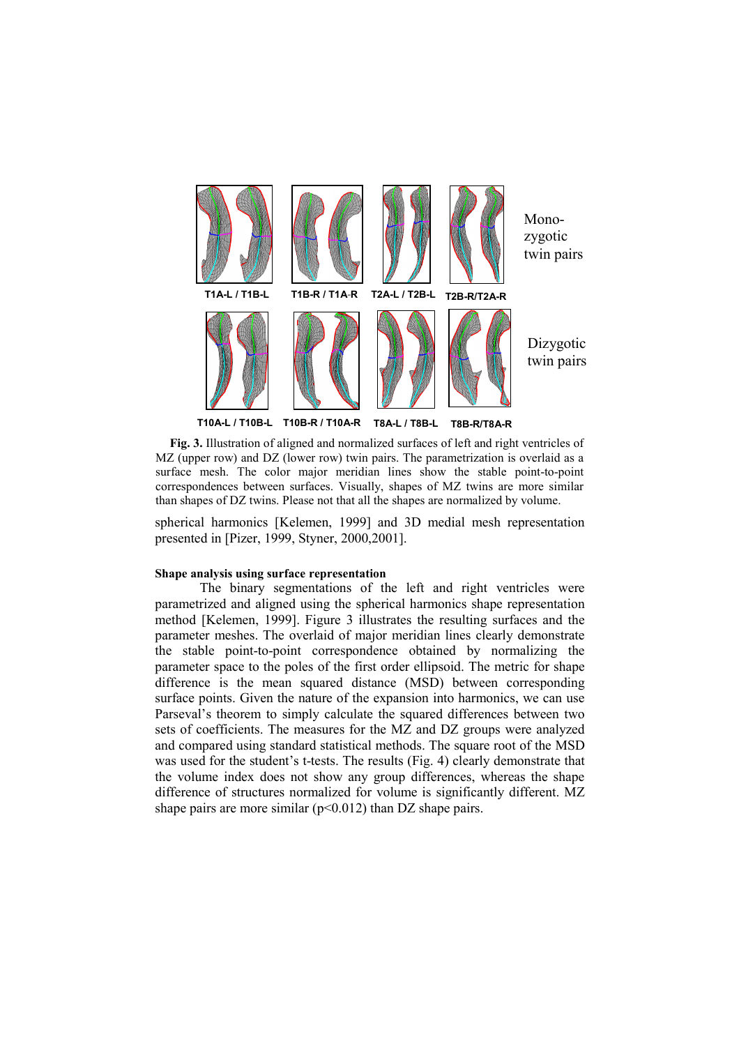

**Fig. 3.** Illustration of aligned and normalized surfaces of left and right ventricles of MZ (upper row) and DZ (lower row) twin pairs. The parametrization is overlaid as a surface mesh. The color major meridian lines show the stable point-to-point correspondences between surfaces. Visually, shapes of MZ twins are more similar than shapes of DZ twins. Please not that all the shapes are normalized by volume.

spherical harmonics [Kelemen, 1999] and 3D medial mesh representation presented in [Pizer, 1999, Styner, 2000,2001].

#### **Shape analysis using surface representation**

The binary segmentations of the left and right ventricles were parametrized and aligned using the spherical harmonics shape representation method [Kelemen, 1999]. Figure 3 illustrates the resulting surfaces and the parameter meshes. The overlaid of major meridian lines clearly demonstrate the stable point-to-point correspondence obtained by normalizing the parameter space to the poles of the first order ellipsoid. The metric for shape difference is the mean squared distance (MSD) between corresponding surface points. Given the nature of the expansion into harmonics, we can use Parseval's theorem to simply calculate the squared differences between two sets of coefficients. The measures for the MZ and DZ groups were analyzed and compared using standard statistical methods. The square root of the MSD was used for the student's t-tests. The results (Fig. 4) clearly demonstrate that the volume index does not show any group differences, whereas the shape difference of structures normalized for volume is significantly different. MZ shape pairs are more similar  $(p<0.012)$  than DZ shape pairs.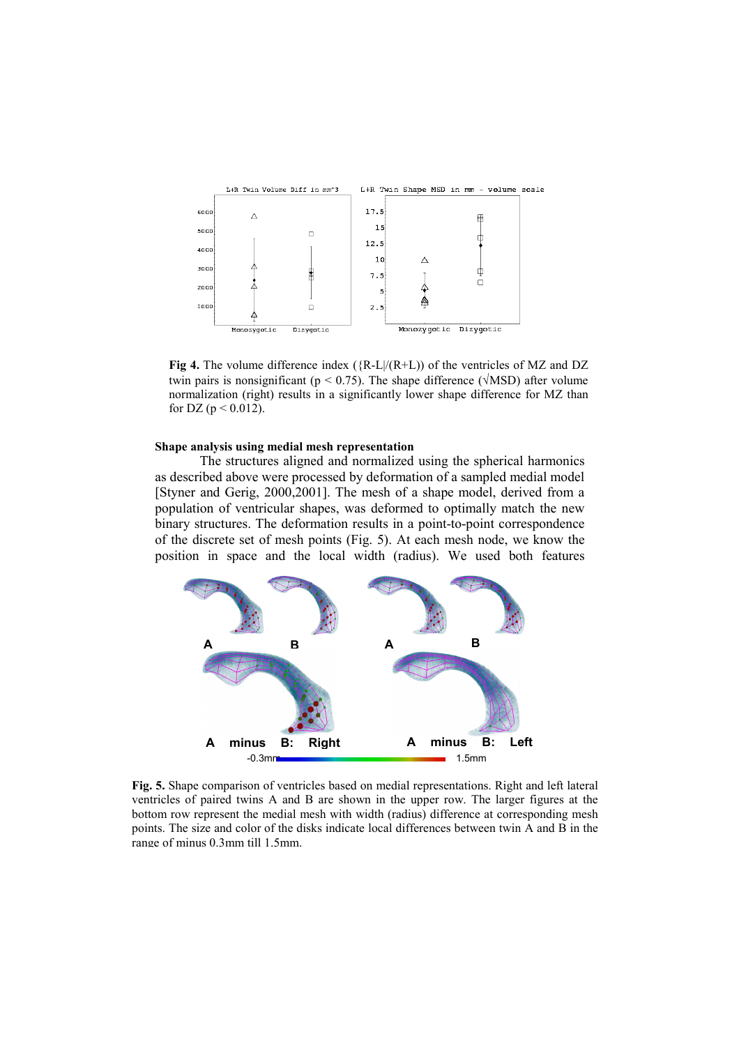

**Fig 4.** The volume difference index ( ${R-L}/(R+L)$ ) of the ventricles of MZ and DZ twin pairs is nonsignificant ( $p \le 0.75$ ). The shape difference ( $\sqrt{MSD}$ ) after volume normalization (right) results in a significantly lower shape difference for MZ than for DZ ( $p < 0.012$ ).

#### **Shape analysis using medial mesh representation**

The structures aligned and normalized using the spherical harmonics as described above were processed by deformation of a sampled medial model [Styner and Gerig, 2000,2001]. The mesh of a shape model, derived from a population of ventricular shapes, was deformed to optimally match the new binary structures. The deformation results in a point-to-point correspondence of the discrete set of mesh points (Fig. 5). At each mesh node, we know the position in space and the local width (radius). We used both features



**Fig. 5.** Shape comparison of ventricles based on medial representations. Right and left lateral ventricles of paired twins A and B are shown in the upper row. The larger figures at the bottom row represent the medial mesh with width (radius) difference at corresponding mesh points. The size and color of the disks indicate local differences between twin A and B in the range of minus 0.3mm till 1.5mm.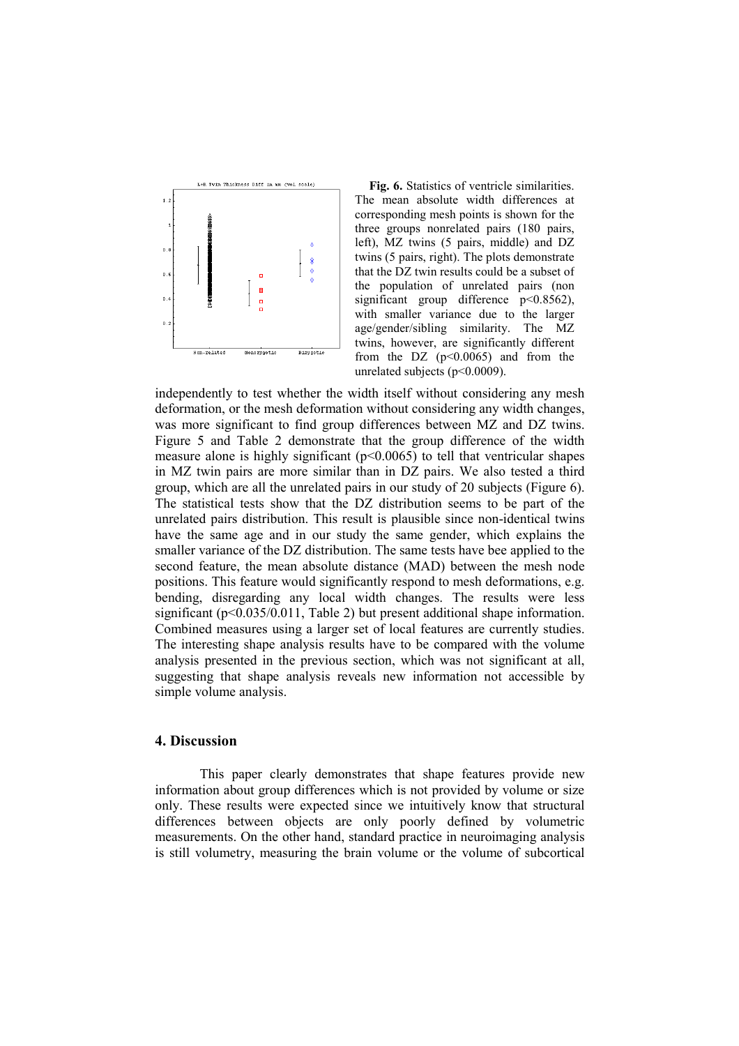

**Fig. 6.** Statistics of ventricle similarities. The mean absolute width differences at corresponding mesh points is shown for the three groups nonrelated pairs (180 pairs, left), MZ twins (5 pairs, middle) and DZ twins (5 pairs, right). The plots demonstrate that the DZ twin results could be a subset of the population of unrelated pairs (non significant group difference  $p<0.8562$ ), with smaller variance due to the larger age/gender/sibling similarity. The MZ twins, however, are significantly different from the DZ  $(p<0.0065)$  and from the unrelated subjects (p<0.0009).

independently to test whether the width itself without considering any mesh deformation, or the mesh deformation without considering any width changes, was more significant to find group differences between MZ and DZ twins. Figure 5 and Table 2 demonstrate that the group difference of the width measure alone is highly significant (p<0.0065) to tell that ventricular shapes in MZ twin pairs are more similar than in DZ pairs. We also tested a third group, which are all the unrelated pairs in our study of 20 subjects (Figure 6). The statistical tests show that the DZ distribution seems to be part of the unrelated pairs distribution. This result is plausible since non-identical twins have the same age and in our study the same gender, which explains the smaller variance of the DZ distribution. The same tests have bee applied to the second feature, the mean absolute distance (MAD) between the mesh node positions. This feature would significantly respond to mesh deformations, e.g. bending, disregarding any local width changes. The results were less significant (p<0.035/0.011, Table 2) but present additional shape information. Combined measures using a larger set of local features are currently studies. The interesting shape analysis results have to be compared with the volume analysis presented in the previous section, which was not significant at all, suggesting that shape analysis reveals new information not accessible by simple volume analysis.

# **4. Discussion**

This paper clearly demonstrates that shape features provide new information about group differences which is not provided by volume or size only. These results were expected since we intuitively know that structural differences between objects are only poorly defined by volumetric measurements. On the other hand, standard practice in neuroimaging analysis is still volumetry, measuring the brain volume or the volume of subcortical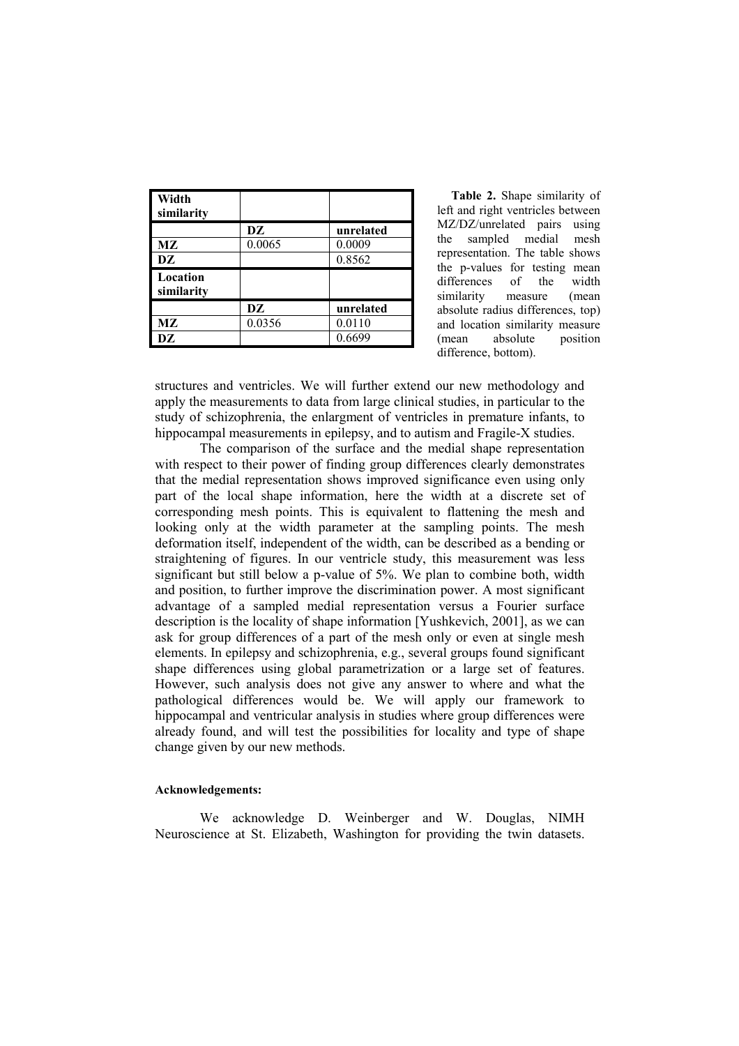| Width<br>similarity    |        |           |
|------------------------|--------|-----------|
|                        | DZ     | unrelated |
| МZ                     | 0.0065 | 0.0009    |
| DZ                     |        | 0.8562    |
| Location<br>similarity |        |           |
|                        | DZ     | unrelated |
| МZ                     | 0.0356 | 0.0110    |
| DZ                     |        | 0.6699    |

**Table 2.** Shape similarity of left and right ventricles between MZ/DZ/unrelated pairs using the sampled medial mesh representation. The table shows the p-values for testing mean differences of the width similarity measure (mean absolute radius differences, top) and location similarity measure (mean absolute position difference, bottom).

structures and ventricles. We will further extend our new methodology and apply the measurements to data from large clinical studies, in particular to the study of schizophrenia, the enlargment of ventricles in premature infants, to hippocampal measurements in epilepsy, and to autism and Fragile-X studies.

The comparison of the surface and the medial shape representation with respect to their power of finding group differences clearly demonstrates that the medial representation shows improved significance even using only part of the local shape information, here the width at a discrete set of corresponding mesh points. This is equivalent to flattening the mesh and looking only at the width parameter at the sampling points. The mesh deformation itself, independent of the width, can be described as a bending or straightening of figures. In our ventricle study, this measurement was less significant but still below a p-value of 5%. We plan to combine both, width and position, to further improve the discrimination power. A most significant advantage of a sampled medial representation versus a Fourier surface description is the locality of shape information [Yushkevich, 2001], as we can ask for group differences of a part of the mesh only or even at single mesh elements. In epilepsy and schizophrenia, e.g., several groups found significant shape differences using global parametrization or a large set of features. However, such analysis does not give any answer to where and what the pathological differences would be. We will apply our framework to hippocampal and ventricular analysis in studies where group differences were already found, and will test the possibilities for locality and type of shape change given by our new methods.

#### **Acknowledgements:**

We acknowledge D. Weinberger and W. Douglas, NIMH Neuroscience at St. Elizabeth, Washington for providing the twin datasets.